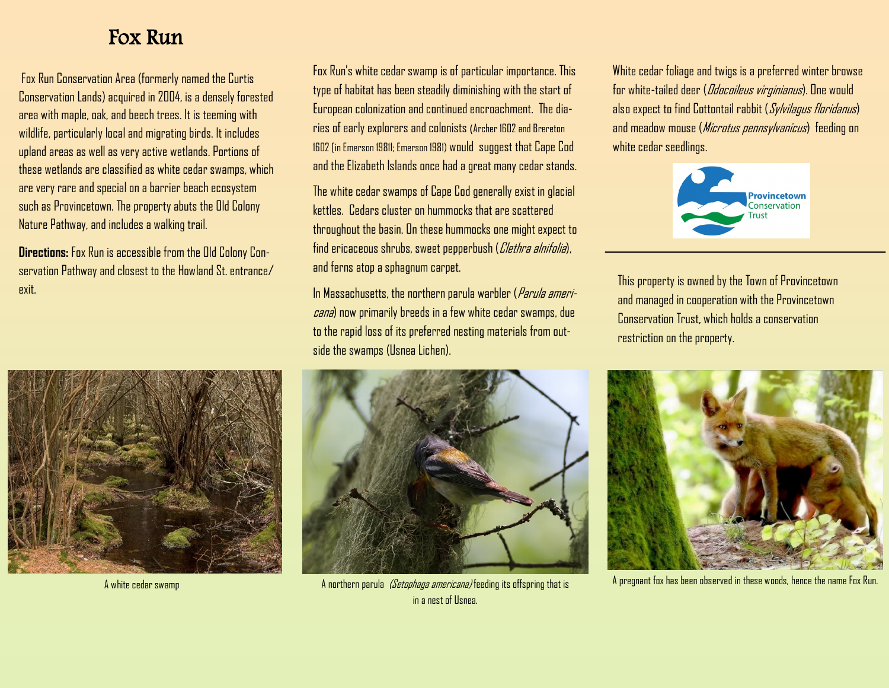## Fox Run

Fox Run Conservation Area (formerly named the Curtis Conservation Lands) acquired in 2004, is a densely forested area with maple, oak, and beech trees. It is teeming with wildlife, particularly local and migrating birds. It includes upland areas as well as very active wetlands. Portions of these wetlands are classified as white cedar swamps, which are very rare and special on a barrier beach ecosystem such as Provincetown. The property abuts the Old Colony Nature Pathway, and includes a walking trail.

**Directions:** Fox Run is accessible from the Old Colony Conservation Pathway and closest to the Howland St. entrance/ exit.



A white cedar swamp

Fox Run's white cedar swamp is of particular importance. This type of habitat has been steadily diminishing with the start of European colonization and continued encroachment. The diaries of early explorers and colonists (Archer 1602 and Brereton 1602 [in Emerson 19811; Emerson 1981) would suggest that Cape Cod and the Elizabeth Islands once had a great many cedar stands.

The white cedar swamps of Cape Cod generally exist in glacial kettles. Cedars cluster on hummocks that are scattered throughout the basin. On these hummocks one might expect to find ericaceous shrubs, sweet pepperbush (Clethra alnifolia), and ferns atop a sphagnum carpet.

In Massachusetts, the northern parula warbler (Parula americana) now primarily breeds in a few white cedar swamps, due to the rapid loss of its preferred nesting materials from outside the swamps (Usnea Lichen).



A northern parula *(Setophaga americana)* feeding its offspring that is in a nest of Usnea.

White cedar foliage and twigs is a preferred winter browse for white-tailed deer (*Odocoileus virginianus*). One would also expect to find Cottontail rabbit (Sylvilagus floridanus) and meadow mouse (Microtus pennsylvanicus) feeding on white cedar seedlings.



This property is owned by the Town of Provincetown and managed in cooperation with the Provincetown Conservation Trust, which holds a conservation restriction on the property.



A pregnant fox has been observed in these woods, hence the name Fox Run.